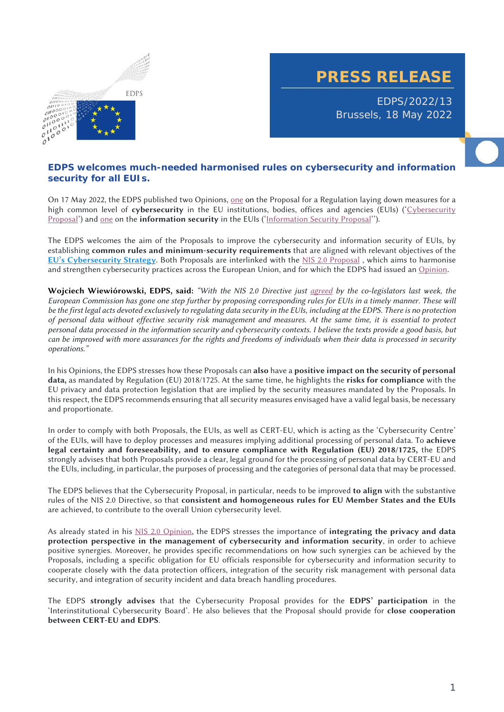

## **PRESS RELEASE**

EDPS/2022/13 Brussels, 18 May 2022

## **EDPS welcomes much-needed harmonised rules on cybersecurity and information security for all EUIs.**

On 17 May 2022, the EDPS published two Opinions, one on the Proposal for a Regulation laying down measures for a high common level of **cybersecurity** in the EU institutions, bodies, offices and agencies (EUIs) ('Cybersecurity Proposal') and one on the **information security** in the EUIs ('Information Security Proposal'').

The EDPS welcomes the aim of the Proposals to improve the cybersecurity and information security of EUIs, by establishing **common rules and minimum-security requirements** that are aligned with relevant objectives of the **EU's Cybersecurity Strategy**. Both Proposals are interlinked with the NIS 2.0 Proposal , which aims to harmonise and strengthen cybersecurity practices across the European Union, and for which the EDPS had issued an Opinion.

**Wojciech Wiewiórowski, EDPS, said:** *"With the NIS 2.0 Directive just agreed by the co-legislators last week, the European Commission has gone one step further by proposing corresponding rules for EUIs in a timely manner. These will be the first legal acts devoted exclusively to regulating data security in the EUIs, including at the EDPS. There is no protection of personal data without effective security risk management and measures. At the same time, it is essential to protect personal data processed in the information security and cybersecurity contexts. I believe the texts provide a good basis, but can be improved with more assurances for the rights and freedoms of individuals when their data is processed in security operations."*

In his Opinions, the EDPS stresses how these Proposals can **also** have a **positive impact on the security of personal data,** as mandated by Regulation (EU) 2018/1725. At the same time, he highlights the **risks for compliance** with the EU privacy and data protection legislation that are implied by the security measures mandated by the Proposals. In this respect, the EDPS recommends ensuring that all security measures envisaged have a valid legal basis, be necessary and proportionate.

In order to comply with both Proposals, the EUIs, as well as CERT-EU, which is acting as the 'Cybersecurity Centre' of the EUIs, will have to deploy processes and measures implying additional processing of personal data. To **achieve legal certainty and foreseeability, and to ensure compliance with Regulation (EU) 2018/1725,** the EDPS strongly advises that both Proposals provide a clear, legal ground for the processing of personal data by CERT-EU and the EUIs, including, in particular, the purposes of processing and the categories of personal data that may be processed.

The EDPS believes that the Cybersecurity Proposal, in particular, needs to be improved **to align** with the substantive rules of the NIS 2.0 Directive, so that **consistent and homogeneous rules for EU Member States and the EUIs** are achieved, to contribute to the overall Union cybersecurity level.

As already stated in his NIS 2.0 Opinion, the EDPS stresses the importance of **integrating the privacy and data protection perspective in the management of cybersecurity and information security**, in order to achieve positive synergies. Moreover, he provides specific recommendations on how such synergies can be achieved by the Proposals, including a specific obligation for EU officials responsible for cybersecurity and information security to cooperate closely with the data protection officers, integration of the security risk management with personal data security, and integration of security incident and data breach handling procedures.

The EDPS **strongly advises** that the Cybersecurity Proposal provides for the **EDPS' participation** in the 'Interinstitutional Cybersecurity Board'. He also believes that the Proposal should provide for **close cooperation between CERT-EU and EDPS**.